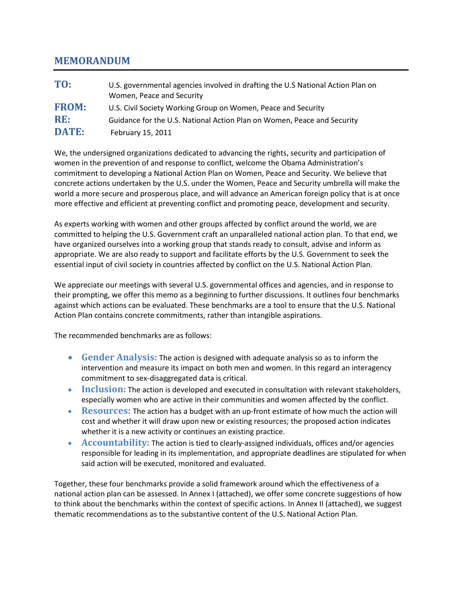# **MEMORANDUM**

| TO:          | U.S. governmental agencies involved in drafting the U.S National Action Plan on<br>Women, Peace and Security |
|--------------|--------------------------------------------------------------------------------------------------------------|
| <b>FROM:</b> | U.S. Civil Society Working Group on Women, Peace and Security                                                |
| RE:          | Guidance for the U.S. National Action Plan on Women, Peace and Security                                      |
| <b>DATE:</b> | February 15, 2011                                                                                            |

We, the undersigned organizations dedicated to advancing the rights, security and participation of women in the prevention of and response to conflict, welcome the Obama Administration's commitment to developing a National Action Plan on Women, Peace and Security. We believe that concrete actions undertaken by the U.S. under the Women, Peace and Security umbrella will make the world a more secure and prosperous place, and will advance an American foreign policy that is at once more effective and efficient at preventing conflict and promoting peace, development and security.

As experts working with women and other groups affected by conflict around the world, we are committed to helping the U.S. Government craft an unparalleled national action plan. To that end, we have organized ourselves into a working group that stands ready to consult, advise and inform as appropriate. We are also ready to support and facilitate efforts by the U.S. Government to seek the essential input of civil society in countries affected by conflict on the U.S. National Action Plan.

We appreciate our meetings with several U.S. governmental offices and agencies, and in response to their prompting, we offer this memo as a beginning to further discussions. It outlines four benchmarks against which actions can be evaluated. These benchmarks are a tool to ensure that the U.S. National Action Plan contains concrete commitments, rather than intangible aspirations.

The recommended benchmarks are as follows:

- **Gender Analysis:** The action is designed with adequate analysis so as to inform the intervention and measure its impact on both men and women. In this regard an interagency commitment to sex-disaggregated data is critical.
- **Inclusion:** The action is developed and executed in consultation with relevant stakeholders, especially women who are active in their communities and women affected by the conflict.
- **Resources:** The action has a budget with an up-front estimate of how much the action will cost and whether it will draw upon new or existing resources; the proposed action indicates whether it is a new activity or continues an existing practice.
- **Accountability:** The action is tied to clearly-assigned individuals, offices and/or agencies responsible for leading in its implementation, and appropriate deadlines are stipulated for when said action will be executed, monitored and evaluated.

Together, these four benchmarks provide a solid framework around which the effectiveness of a national action plan can be assessed. In Annex I (attached), we offer some concrete suggestions of how to think about the benchmarks within the context of specific actions. In Annex II (attached), we suggest thematic recommendations as to the substantive content of the U.S. National Action Plan.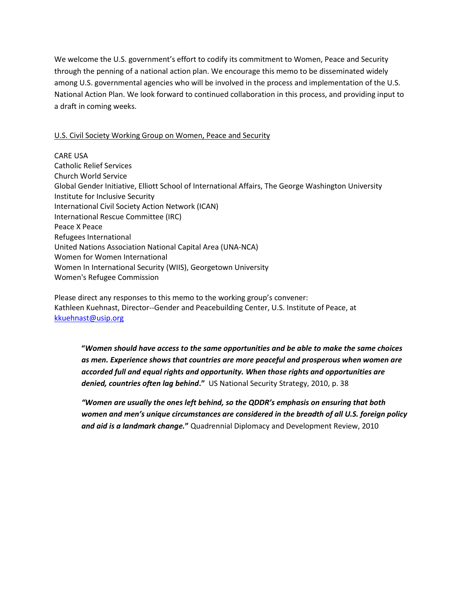We welcome the U.S. government's effort to codify its commitment to Women, Peace and Security through the penning of a national action plan. We encourage this memo to be disseminated widely among U.S. governmental agencies who will be involved in the process and implementation of the U.S. National Action Plan. We look forward to continued collaboration in this process, and providing input to a draft in coming weeks.

## U.S. Civil Society Working Group on Women, Peace and Security

CARE USA Catholic Relief Services Church World Service Global Gender Initiative, Elliott School of International Affairs, The George Washington University Institute for Inclusive Security International Civil Society Action Network (ICAN) International Rescue Committee (IRC) Peace X Peace Refugees International United Nations Association National Capital Area (UNA-NCA) Women for Women International Women In International Security (WIIS), Georgetown University Women's Refugee Commission

Please direct any responses to this memo to the working group's convener: Kathleen Kuehnast, Director--Gender and Peacebuilding Center, U.S. Institute of Peace, at [kkuehnast@usip.org](mailto:kkuehnast@usip.org)

**"***Women should have access to the same opportunities and be able to make the same choices as men. Experience shows that countries are more peaceful and prosperous when women are accorded full and equal rights and opportunity. When those rights and opportunities are denied, countries often lag behind***."** US National Security Strategy, 2010, p. 38

*"Women are usually the ones left behind, so the QDDR's emphasis on ensuring that both women and men's unique circumstances are considered in the breadth of all U.S. foreign policy and aid is a landmark change.***"** Quadrennial Diplomacy and Development Review, 2010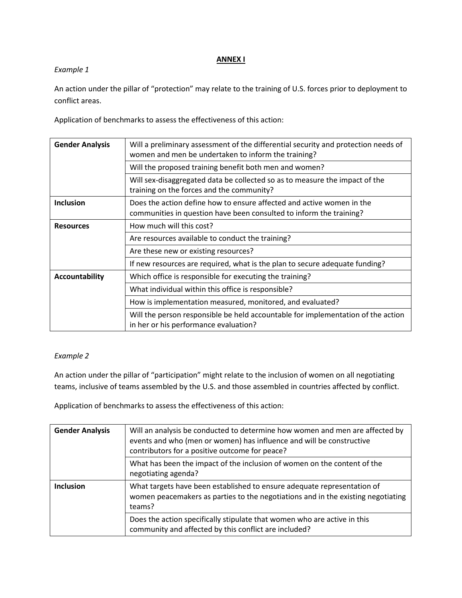### **ANNEX I**

## *Example 1*

An action under the pillar of "protection" may relate to the training of U.S. forces prior to deployment to conflict areas.

Application of benchmarks to assess the effectiveness of this action:

| <b>Gender Analysis</b> | Will a preliminary assessment of the differential security and protection needs of<br>women and men be undertaken to inform the training?    |
|------------------------|----------------------------------------------------------------------------------------------------------------------------------------------|
|                        | Will the proposed training benefit both men and women?                                                                                       |
|                        | Will sex-disaggregated data be collected so as to measure the impact of the<br>training on the forces and the community?                     |
| <b>Inclusion</b>       | Does the action define how to ensure affected and active women in the<br>communities in question have been consulted to inform the training? |
| <b>Resources</b>       | How much will this cost?                                                                                                                     |
|                        | Are resources available to conduct the training?                                                                                             |
|                        | Are these new or existing resources?                                                                                                         |
|                        | If new resources are required, what is the plan to secure adequate funding?                                                                  |
| Accountability         | Which office is responsible for executing the training?                                                                                      |
|                        | What individual within this office is responsible?                                                                                           |
|                        | How is implementation measured, monitored, and evaluated?                                                                                    |
|                        | Will the person responsible be held accountable for implementation of the action<br>in her or his performance evaluation?                    |

# *Example 2*

An action under the pillar of "participation" might relate to the inclusion of women on all negotiating teams, inclusive of teams assembled by the U.S. and those assembled in countries affected by conflict.

Application of benchmarks to assess the effectiveness of this action:

| <b>Gender Analysis</b> | Will an analysis be conducted to determine how women and men are affected by<br>events and who (men or women) has influence and will be constructive<br>contributors for a positive outcome for peace? |
|------------------------|--------------------------------------------------------------------------------------------------------------------------------------------------------------------------------------------------------|
|                        | What has been the impact of the inclusion of women on the content of the<br>negotiating agenda?                                                                                                        |
| <b>Inclusion</b>       | What targets have been established to ensure adequate representation of<br>women peacemakers as parties to the negotiations and in the existing negotiating<br>teams?                                  |
|                        | Does the action specifically stipulate that women who are active in this<br>community and affected by this conflict are included?                                                                      |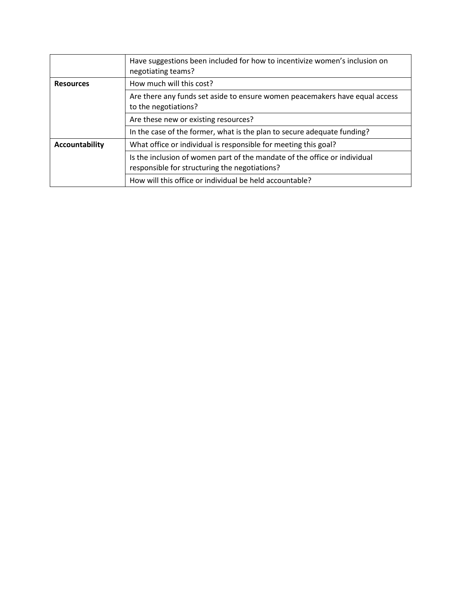|                       | Have suggestions been included for how to incentivize women's inclusion on<br>negotiating teams?                           |
|-----------------------|----------------------------------------------------------------------------------------------------------------------------|
| <b>Resources</b>      | How much will this cost?                                                                                                   |
|                       | Are there any funds set aside to ensure women peacemakers have equal access<br>to the negotiations?                        |
|                       | Are these new or existing resources?                                                                                       |
|                       | In the case of the former, what is the plan to secure adequate funding?                                                    |
| <b>Accountability</b> | What office or individual is responsible for meeting this goal?                                                            |
|                       | Is the inclusion of women part of the mandate of the office or individual<br>responsible for structuring the negotiations? |
|                       | How will this office or individual be held accountable?                                                                    |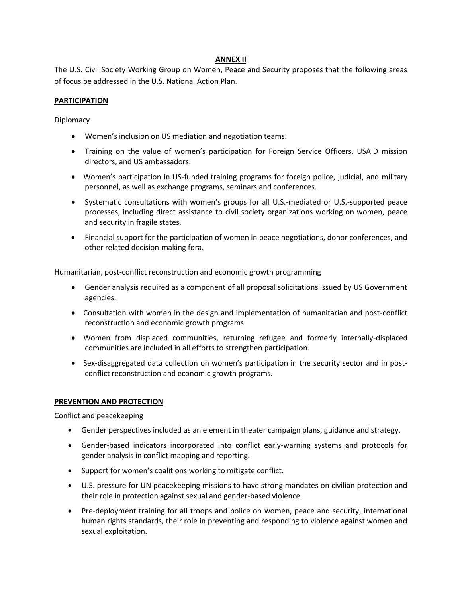### **ANNEX II**

The U.S. Civil Society Working Group on Women, Peace and Security proposes that the following areas of focus be addressed in the U.S. National Action Plan.

### **PARTICIPATION**

#### Diplomacy

- Women's inclusion on US mediation and negotiation teams.
- Training on the value of women's participation for Foreign Service Officers, USAID mission directors, and US ambassadors.
- Women's participation in US-funded training programs for foreign police, judicial, and military personnel, as well as exchange programs, seminars and conferences.
- Systematic consultations with women's groups for all U.S.-mediated or U.S.-supported peace processes, including direct assistance to civil society organizations working on women, peace and security in fragile states.
- Financial support for the participation of women in peace negotiations, donor conferences, and other related decision-making fora.

Humanitarian, post-conflict reconstruction and economic growth programming

- Gender analysis required as a component of all proposal solicitations issued by US Government agencies.
- Consultation with women in the design and implementation of humanitarian and post-conflict reconstruction and economic growth programs
- Women from displaced communities, returning refugee and formerly internally-displaced communities are included in all efforts to strengthen participation.
- Sex-disaggregated data collection on women's participation in the security sector and in postconflict reconstruction and economic growth programs.

### **PREVENTION AND PROTECTION**

Conflict and peacekeeping

- Gender perspectives included as an element in theater campaign plans, guidance and strategy.
- Gender-based indicators incorporated into conflict early-warning systems and protocols for gender analysis in conflict mapping and reporting.
- Support for women's coalitions working to mitigate conflict.
- U.S. pressure for UN peacekeeping missions to have strong mandates on civilian protection and their role in protection against sexual and gender-based violence.
- Pre-deployment training for all troops and police on women, peace and security, international human rights standards, their role in preventing and responding to violence against women and sexual exploitation.